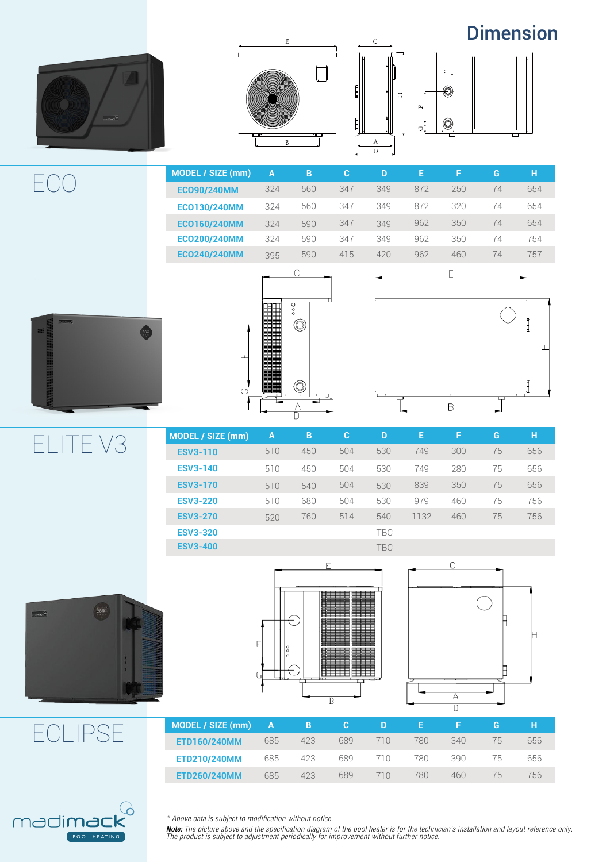### Dimension









| MODEL / SIZE (mm)   | $\mathbf{A}$ | B   | C.  | D   | Æ   | F.  | G  | н   |
|---------------------|--------------|-----|-----|-----|-----|-----|----|-----|
| <b>ECO90/240MM</b>  | 324          | 560 | 347 | 349 | 872 | 250 | 74 | 654 |
| <b>ECO130/240MM</b> | 324          | 560 | 347 | 349 | 872 | 320 | 74 | 654 |
| <b>ECO160/240MM</b> | 324          | 590 | 347 | 349 | 962 | 350 | 74 | 654 |
| <b>ECO200/240MM</b> | 324          | 590 | 347 | 349 | 962 | 350 | 74 | 754 |
| <b>ECO240/240MM</b> | 395          | 590 | 415 | 420 | 962 | 460 | 74 | 757 |
|                     |              |     |     |     |     |     |    |     |







**ESV3-110 ESV3-140 ESV3-170 ESV3-220 ESV3-270 ESV3-320 ESV3-400** 450 504 530 749 300 75 656 TBC TBC **MODEL / SIZE (mm) B C D E F G H** ELITE V3







| MODEL / SIZE (mm)   | $\mathbf{A}$ | B   |     | D    |     |     | G        |     |
|---------------------|--------------|-----|-----|------|-----|-----|----------|-----|
| <b>ETD160/240MM</b> | 685          | 423 | 689 |      | 780 | 340 | $\Delta$ | 656 |
| <b>ETD210/240MM</b> | 685          | 423 | 689 |      | 780 | 390 | 'n       | 656 |
| <b>ETD260/240MM</b> | 685          | 423 | 689 | 71 N | 780 | 460 | 'n       | 56  |



ECLIPSE

\* Above data is subject to modification without notice.

Note: The picture above and the specification diagram of the pool heater is for the technician's installation and layout reference only.<br>The product is subject to adjustment periodically for improvement without further not